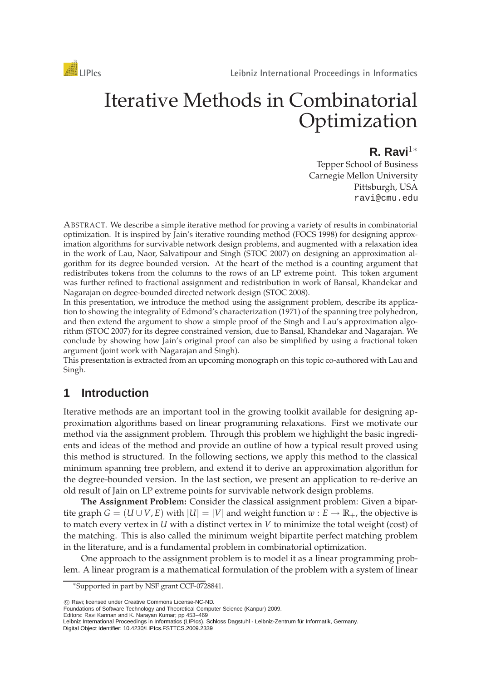

# Iterative Methods in Combinatorial Optimization

# **R. Ravi**<sup>1</sup><sup>∗</sup>

Tepper School of Business Carnegie Mellon University Pittsburgh, USA ravi@cmu.edu

ABSTRACT. We describe a simple iterative method for proving a variety of results in combinatorial optimization. It is inspired by Jain's iterative rounding method (FOCS 1998) for designing approximation algorithms for survivable network design problems, and augmented with a relaxation idea in the work of Lau, Naor, Salvatipour and Singh (STOC 2007) on designing an approximation algorithm for its degree bounded version. At the heart of the method is a counting argument that redistributes tokens from the columns to the rows of an LP extreme point. This token argument was further refined to fractional assignment and redistribution in work of Bansal, Khandekar and Nagarajan on degree-bounded directed network design (STOC 2008).

In this presentation, we introduce the method using the assignment problem, describe its application to showing the integrality of Edmond's characterization (1971) of the spanning tree polyhedron, and then extend the argument to show a simple proof of the Singh and Lau's approximation algorithm (STOC 2007) for its degree constrained version, due to Bansal, Khandekar and Nagarajan. We conclude by showing how Jain's original proof can also be simplified by using a fractional token argument (joint work with Nagarajan and Singh).

This presentation is extracted from an upcoming monograph on this topic co-authored with Lau and Singh.

# **1 Introduction**

Iterative methods are an important tool in the growing toolkit available for designing approximation algorithms based on linear programming relaxations. First we motivate our method via the assignment problem. Through this problem we highlight the basic ingredients and ideas of the method and provide an outline of how a typical result proved using this method is structured. In the following sections, we apply this method to the classical minimum spanning tree problem, and extend it to derive an approximation algorithm for the degree-bounded version. In the last section, we present an application to re-derive an old result of Jain on LP extreme points for survivable network design problems.

**The Assignment Problem:** Consider the classical assignment problem: Given a bipartite graph  $G = (U \cup V, E)$  with  $|U| = |V|$  and weight function  $w : E \to \mathbb{R}_+$ , the objective is to match every vertex in *U* with a distinct vertex in *V* to minimize the total weight (cost) of the matching. This is also called the minimum weight bipartite perfect matching problem in the literature, and is a fundamental problem in combinatorial optimization.

One approach to the assignment problem is to model it as a linear programming problem. A linear program is a mathematical formulation of the problem with a system of linear

(C) Ravi; licensed under Creative Commons License-NC-ND.

Foundations of Software Technology and Theoretical Computer Science (Kanpur) 2009.

Editors: Ravi Kannan and K. Narayan Kumar; pp 453–469

<sup>∗</sup>Supported in part by NSF grant CCF-0728841.

Leibniz International Proceedings in Informatics (LIPIcs), Schloss Dagstuhl - Leibniz-Zentrum für Informatik, Germany. Digital Object Identifier: 10.4230/LIPIcs.FSTTCS.2009.2339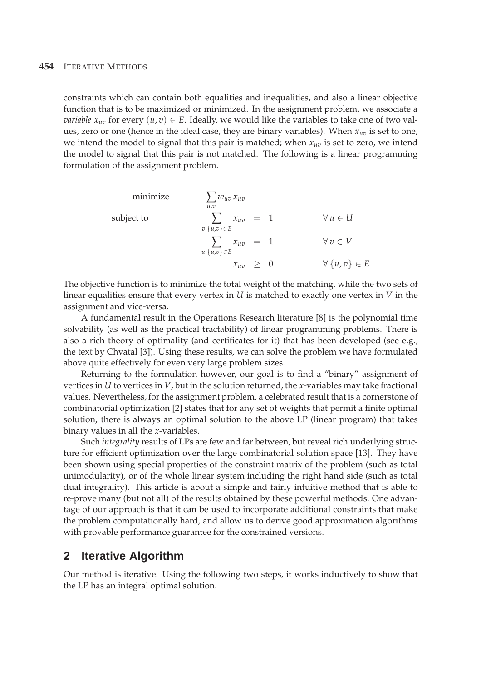constraints which can contain both equalities and inequalities, and also a linear objective function that is to be maximized or minimized. In the assignment problem, we associate a *variable*  $x_{uv}$  for every  $(u, v) \in E$ . Ideally, we would like the variables to take one of two values, zero or one (hence in the ideal case, they are binary variables). When *xuv* is set to one, we intend the model to signal that this pair is matched; when *xuv* is set to zero, we intend the model to signal that this pair is not matched. The following is a linear programming formulation of the assignment problem.

minimize  
\n
$$
\sum_{u,v} w_{uv} x_{uv}
$$
\nsubject to  
\n
$$
\sum_{v:\{u,v\} \in E} x_{uv} = 1 \qquad \forall u \in U
$$
\n
$$
\sum_{w:\{u,v\} \in E} x_{uv} = 1 \qquad \forall v \in V
$$
\n
$$
x_{uv} \geq 0 \qquad \forall \{u,v\} \in E
$$

The objective function is to minimize the total weight of the matching, while the two sets of linear equalities ensure that every vertex in *U* is matched to exactly one vertex in *V* in the assignment and vice-versa.

A fundamental result in the Operations Research literature [8] is the polynomial time solvability (as well as the practical tractability) of linear programming problems. There is also a rich theory of optimality (and certificates for it) that has been developed (see e.g., the text by Chvatal [3]). Using these results, we can solve the problem we have formulated above quite effectively for even very large problem sizes.

Returning to the formulation however, our goal is to find a "binary" assignment of vertices in *U* to vertices in *V*, but in the solution returned, the *x*-variables may take fractional values. Nevertheless, for the assignment problem, a celebrated result that is a cornerstone of combinatorial optimization [2] states that for any set of weights that permit a finite optimal solution, there is always an optimal solution to the above LP (linear program) that takes binary values in all the *x*-variables.

Such *integrality* results of LPs are few and far between, but reveal rich underlying structure for efficient optimization over the large combinatorial solution space [13]. They have been shown using special properties of the constraint matrix of the problem (such as total unimodularity), or of the whole linear system including the right hand side (such as total dual integrality). This article is about a simple and fairly intuitive method that is able to re-prove many (but not all) of the results obtained by these powerful methods. One advantage of our approach is that it can be used to incorporate additional constraints that make the problem computationally hard, and allow us to derive good approximation algorithms with provable performance guarantee for the constrained versions.

# **2 Iterative Algorithm**

Our method is iterative. Using the following two steps, it works inductively to show that the LP has an integral optimal solution.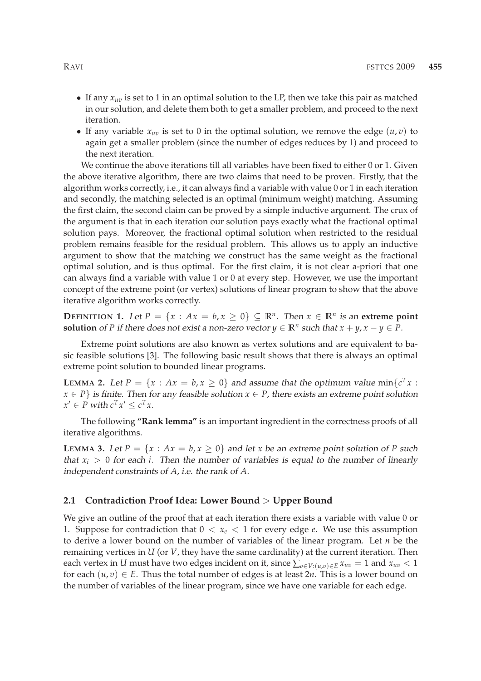- If any *xuv* is set to 1 in an optimal solution to the LP, then we take this pair as matched in our solution, and delete them both to get a smaller problem, and proceed to the next iteration.
- If any variable  $x_{uv}$  is set to 0 in the optimal solution, we remove the edge  $(u, v)$  to again get a smaller problem (since the number of edges reduces by 1) and proceed to the next iteration.

We continue the above iterations till all variables have been fixed to either 0 or 1. Given the above iterative algorithm, there are two claims that need to be proven. Firstly, that the algorithm works correctly, i.e., it can always find a variable with value 0 or 1 in each iteration and secondly, the matching selected is an optimal (minimum weight) matching. Assuming the first claim, the second claim can be proved by a simple inductive argument. The crux of the argument is that in each iteration our solution pays exactly what the fractional optimal solution pays. Moreover, the fractional optimal solution when restricted to the residual problem remains feasible for the residual problem. This allows us to apply an inductive argument to show that the matching we construct has the same weight as the fractional optimal solution, and is thus optimal. For the first claim, it is not clear a-priori that one can always find a variable with value 1 or 0 at every step. However, we use the important concept of the extreme point (or vertex) solutions of linear program to show that the above iterative algorithm works correctly.

**DEFINITION 1.** Let  $P = \{x : Ax = b, x \ge 0\} \subseteq \mathbb{R}^n$ . Then  $x \in \mathbb{R}^n$  is an extreme point **solution** of *P* if there does not exist a non-zero vector  $y \in \mathbb{R}^n$  such that  $x + y$ ,  $x - y \in P$ .

Extreme point solutions are also known as vertex solutions and are equivalent to basic feasible solutions [3]. The following basic result shows that there is always an optimal extreme point solution to bounded linear programs.

**LEMMA 2.** Let  $P = \{x : Ax = b, x \ge 0\}$  and assume that the optimum value min $\{c^T x : b^T x = c\}$  $x \in P$  *is finite. Then for any feasible solution*  $x \in P$ , there exists an extreme point solution  $x' \in P$  with  $c^T x' \leq c^T x$ .

The following **"Rank lemma"** is an important ingredient in the correctness proofs of all iterative algorithms.

**LEMMA** 3. Let  $P = \{x : Ax = b, x \ge 0\}$  and let *x* be an extreme point solution of *P* such that  $x_i > 0$  for each *i*. Then the number of variables is equal to the number of linearly independent constraints of *A*, i.e. the rank of *A*.

#### **2.1 Contradiction Proof Idea: Lower Bound** > **Upper Bound**

We give an outline of the proof that at each iteration there exists a variable with value 0 or 1. Suppose for contradiction that  $0 < x_e < 1$  for every edge *e*. We use this assumption to derive a lower bound on the number of variables of the linear program. Let *n* be the remaining vertices in *U* (or *V*, they have the same cardinality) at the current iteration. Then each vertex in *U* must have two edges incident on it, since  $\sum_{v \in V : (u,v) \in E} x_{uv} = 1$  and  $x_{uv} < 1$ for each  $(u, v) \in E$ . Thus the total number of edges is at least 2*n*. This is a lower bound on the number of variables of the linear program, since we have one variable for each edge.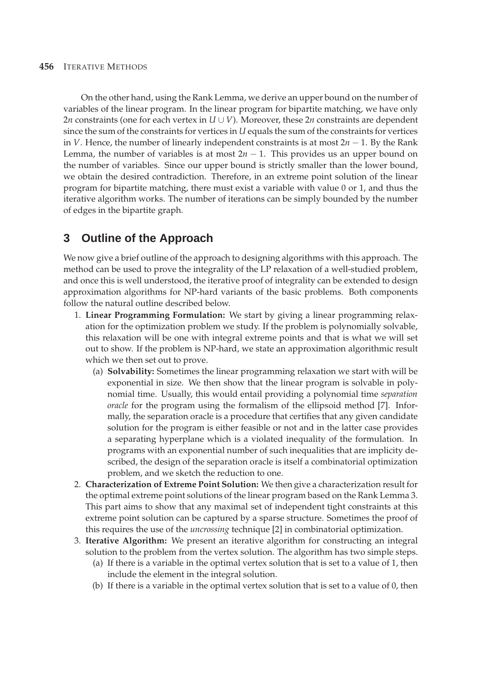On the other hand, using the Rank Lemma, we derive an upper bound on the number of variables of the linear program. In the linear program for bipartite matching, we have only 2*n* constraints (one for each vertex in  $U \cup V$ ). Moreover, these 2*n* constraints are dependent since the sum of the constraints for vertices in *U* equals the sum of the constraints for vertices in *V*. Hence, the number of linearly independent constraints is at most 2*n* − 1. By the Rank Lemma, the number of variables is at most  $2n - 1$ . This provides us an upper bound on the number of variables. Since our upper bound is strictly smaller than the lower bound, we obtain the desired contradiction. Therefore, in an extreme point solution of the linear program for bipartite matching, there must exist a variable with value 0 or 1, and thus the iterative algorithm works. The number of iterations can be simply bounded by the number of edges in the bipartite graph.

# **3 Outline of the Approach**

We now give a brief outline of the approach to designing algorithms with this approach. The method can be used to prove the integrality of the LP relaxation of a well-studied problem, and once this is well understood, the iterative proof of integrality can be extended to design approximation algorithms for NP-hard variants of the basic problems. Both components follow the natural outline described below.

- 1. **Linear Programming Formulation:** We start by giving a linear programming relaxation for the optimization problem we study. If the problem is polynomially solvable, this relaxation will be one with integral extreme points and that is what we will set out to show. If the problem is NP-hard, we state an approximation algorithmic result which we then set out to prove.
	- (a) **Solvability:** Sometimes the linear programming relaxation we start with will be exponential in size. We then show that the linear program is solvable in polynomial time. Usually, this would entail providing a polynomial time *separation oracle* for the program using the formalism of the ellipsoid method [7]. Informally, the separation oracle is a procedure that certifies that any given candidate solution for the program is either feasible or not and in the latter case provides a separating hyperplane which is a violated inequality of the formulation. In programs with an exponential number of such inequalities that are implicity described, the design of the separation oracle is itself a combinatorial optimization problem, and we sketch the reduction to one.
- 2. **Characterization of Extreme Point Solution:** We then give a characterization result for the optimal extreme point solutions of the linear program based on the Rank Lemma 3. This part aims to show that any maximal set of independent tight constraints at this extreme point solution can be captured by a sparse structure. Sometimes the proof of this requires the use of the *uncrossing* technique [2] in combinatorial optimization.
- 3. **Iterative Algorithm:** We present an iterative algorithm for constructing an integral solution to the problem from the vertex solution. The algorithm has two simple steps.
	- (a) If there is a variable in the optimal vertex solution that is set to a value of 1, then include the element in the integral solution.
	- (b) If there is a variable in the optimal vertex solution that is set to a value of 0, then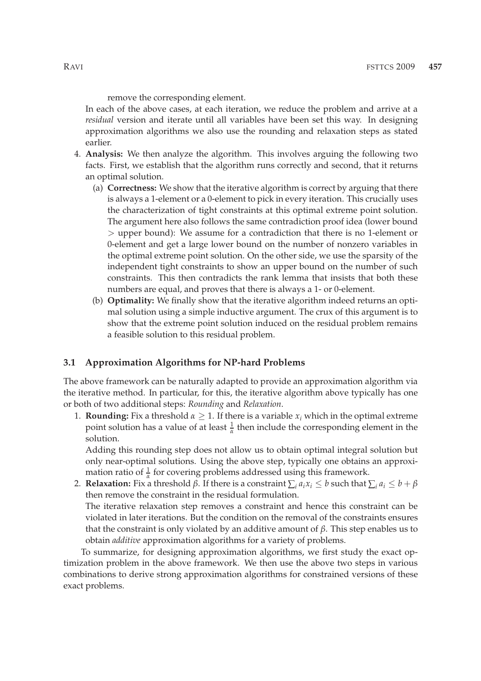remove the corresponding element.

In each of the above cases, at each iteration, we reduce the problem and arrive at a *residual* version and iterate until all variables have been set this way. In designing approximation algorithms we also use the rounding and relaxation steps as stated earlier.

- 4. **Analysis:** We then analyze the algorithm. This involves arguing the following two facts. First, we establish that the algorithm runs correctly and second, that it returns an optimal solution.
	- (a) **Correctness:** We show that the iterative algorithm is correct by arguing that there is always a 1-element or a 0-element to pick in every iteration. This crucially uses the characterization of tight constraints at this optimal extreme point solution. The argument here also follows the same contradiction proof idea (lower bound > upper bound): We assume for a contradiction that there is no 1-element or 0-element and get a large lower bound on the number of nonzero variables in the optimal extreme point solution. On the other side, we use the sparsity of the independent tight constraints to show an upper bound on the number of such constraints. This then contradicts the rank lemma that insists that both these numbers are equal, and proves that there is always a 1- or 0-element.
	- (b) **Optimality:** We finally show that the iterative algorithm indeed returns an optimal solution using a simple inductive argument. The crux of this argument is to show that the extreme point solution induced on the residual problem remains a feasible solution to this residual problem.

#### **3.1 Approximation Algorithms for NP-hard Problems**

The above framework can be naturally adapted to provide an approximation algorithm via the iterative method. In particular, for this, the iterative algorithm above typically has one or both of two additional steps: *Rounding* and *Relaxation*.

1. **Rounding:** Fix a threshold  $\alpha \geq 1$ . If there is a variable  $x_i$  which in the optimal extreme point solution has a value of at least  $\frac{1}{\alpha}$  then include the corresponding element in the solution.

Adding this rounding step does not allow us to obtain optimal integral solution but only near-optimal solutions. Using the above step, typically one obtains an approximation ratio of  $\frac{1}{\alpha}$  for covering problems addressed using this framework.

2. **Relaxation:** Fix a threshold β. If there is a constraint  $\sum_i a_i x_i \leq b$  such that  $\sum_i a_i \leq b + \beta$ then remove the constraint in the residual formulation. The iterative relaxation step removes a constraint and hence this constraint can be

violated in later iterations. But the condition on the removal of the constraints ensures that the constraint is only violated by an additive amount of *β*. This step enables us to obtain *additive* approximation algorithms for a variety of problems.

To summarize, for designing approximation algorithms, we first study the exact optimization problem in the above framework. We then use the above two steps in various combinations to derive strong approximation algorithms for constrained versions of these exact problems.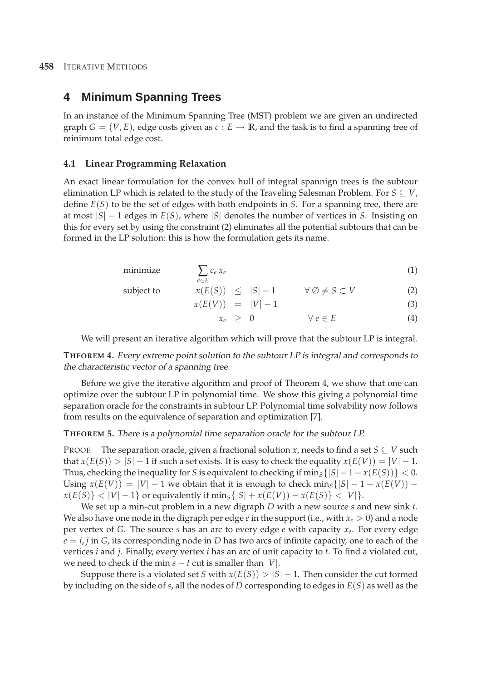# **4 Minimum Spanning Trees**

In an instance of the Minimum Spanning Tree (MST) problem we are given an undirected graph  $G = (V, E)$ , edge costs given as  $c : E \to \mathbb{R}$ , and the task is to find a spanning tree of minimum total edge cost.

#### **4.1 Linear Programming Relaxation**

An exact linear formulation for the convex hull of integral spannign trees is the subtour elimination LP which is related to the study of the Traveling Salesman Problem. For  $S \subseteq V$ , define *E*(*S*) to be the set of edges with both endpoints in *S*. For a spanning tree, there are at most |*S*| − 1 edges in *E*(*S*), where |*S*| denotes the number of vertices in *S*. Insisting on this for every set by using the constraint (2) eliminates all the potential subtours that can be formed in the LP solution: this is how the formulation gets its name.

$$
\text{minimize} \qquad \sum_{e \in E} c_e \, x_e \tag{1}
$$

subject to 
$$
x(E(S)) \le |S|-1 \quad \forall \emptyset \ne S \subset V
$$
 (2)

$$
x(E(V)) = |V| - 1 \tag{3}
$$

$$
x_e \geq 0 \qquad \forall e \in E \tag{4}
$$

We will present an iterative algorithm which will prove that the subtour LP is integral.

**THEOREM 4.** Every extreme point solution to the subtour LP is integral and corresponds to the characteristic vector of <sup>a</sup> spanning tree.

Before we give the iterative algorithm and proof of Theorem 4, we show that one can optimize over the subtour LP in polynomial time. We show this giving a polynomial time separation oracle for the constraints in subtour LP. Polynomial time solvability now follows from results on the equivalence of separation and optimization [7].

#### **THEOREM 5.** There is <sup>a</sup> polynomial time separation oracle for the subtour LP.

PROOF. The separation oracle, given a fractional solution *x*, needs to find a set  $S \subseteq V$  such that  $x(E(S)) > |S| - 1$  if such a set exists. It is easy to check the equality  $x(E(V)) = |V| - 1$ . Thus, checking the inequality for *S* is equivalent to checking if  $\min_{S} \{|S| - 1 - x(E(S))\} < 0$ . Using  $x(E(V)) = |V| - 1$  we obtain that it is enough to check min<sub>S</sub>{ $|S| - 1 + x(E(V)) - 1$  $x(E(S)) < |V| - 1$  or equivalently if  $\min_{S} \{|S| + x(E(V)) - x(E(S))| < |V|$ .

We set up a min-cut problem in a new digraph *D* with a new source *s* and new sink *t*. We also have one node in the digraph per edge *e* in the support (i.e., with  $x_e > 0$ ) and a node per vertex of *G*. The source *s* has an arc to every edge *e* with capacity *x<sup>e</sup>* . For every edge  $e = i$ , *j* in *G*, its corresponding node in *D* has two arcs of infinite capacity, one to each of the vertices *i* and *j*. Finally, every vertex *i* has an arc of unit capacity to *t*. To find a violated cut, we need to check if the min  $s - t$  cut is smaller than |*V*|.

Suppose there is a violated set *S* with  $x(E(S)) > |S| - 1$ . Then consider the cut formed by including on the side of *s*, all the nodes of *D* corresponding to edges in *E*(*S*) as well as the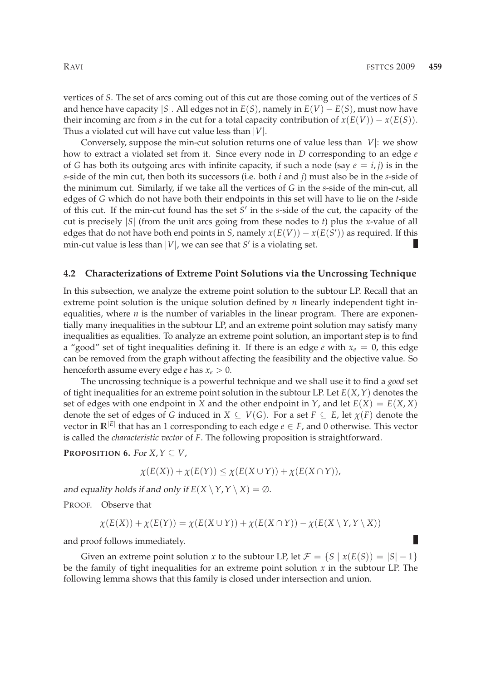vertices of *S*. The set of arcs coming out of this cut are those coming out of the vertices of *S* and hence have capacity  $|S|$ . All edges not in  $E(S)$ , namely in  $E(V) - E(S)$ , must now have their incoming arc from *s* in the cut for a total capacity contribution of  $x(E(V)) - x(E(S))$ . Thus a violated cut will have cut value less than |*V*|.

Conversely, suppose the min-cut solution returns one of value less than  $|V|$ : we show how to extract a violated set from it. Since every node in *D* corresponding to an edge *e* of *G* has both its outgoing arcs with infinite capacity, if such a node (say  $e = i, j$ ) is in the *s*-side of the min cut, then both its successors (i.e. both *i* and *j*) must also be in the *s*-side of the minimum cut. Similarly, if we take all the vertices of *G* in the *s*-side of the min-cut, all edges of *G* which do not have both their endpoints in this set will have to lie on the *t*-side of this cut. If the min-cut found has the set *S* ′ in the *s*-side of the cut, the capacity of the cut is precisely |*S*| (from the unit arcs going from these nodes to *t*) plus the *x*-value of all edges that do not have both end points in *S*, namely  $x(E(V)) - x(E(S'))$  as required. If this min-cut value is less than  $|V|$ , we can see that  $S'$  is a violating set.

#### **4.2 Characterizations of Extreme Point Solutions via the Uncrossing Technique**

In this subsection, we analyze the extreme point solution to the subtour LP. Recall that an extreme point solution is the unique solution defined by *n* linearly independent tight inequalities, where *n* is the number of variables in the linear program. There are exponentially many inequalities in the subtour LP, and an extreme point solution may satisfy many inequalities as equalities. To analyze an extreme point solution, an important step is to find a "good" set of tight inequalities defining it. If there is an edge *e* with  $x_e = 0$ , this edge can be removed from the graph without affecting the feasibility and the objective value. So henceforth assume every edge *e* has  $x_e > 0$ .

The uncrossing technique is a powerful technique and we shall use it to find a *good* set of tight inequalities for an extreme point solution in the subtour LP. Let *E*(*X*,*Y*) denotes the set of edges with one endpoint in *X* and the other endpoint in *Y*, and let  $E(X) = E(X, X)$ denote the set of edges of *G* induced in  $X \subseteq V(G)$ . For a set  $F \subseteq E$ , let  $\chi(F)$  denote the vector in  $\mathbb{R}^{|E|}$  that has an 1 corresponding to each edge  $e \in F$ , and 0 otherwise. This vector is called the *characteristic vector* of *F*. The following proposition is straightforward.

**PROPOSITION 6.** For  $X, Y \subseteq V$ ,

$$
\chi(E(X)) + \chi(E(Y)) \leq \chi(E(X \cup Y)) + \chi(E(X \cap Y)),
$$

and equality holds if and only if  $E(X \setminus Y, Y \setminus X) = \emptyset$ .

PROOF. Observe that

$$
\chi(E(X)) + \chi(E(Y)) = \chi(E(X \cup Y)) + \chi(E(X \cap Y)) - \chi(E(X \setminus Y, Y \setminus X))
$$

and proof follows immediately.

Given an extreme point solution *x* to the subtour LP, let  $\mathcal{F} = \{S \mid x(E(S)) = |S| - 1\}$ be the family of tight inequalities for an extreme point solution *x* in the subtour LP. The following lemma shows that this family is closed under intersection and union.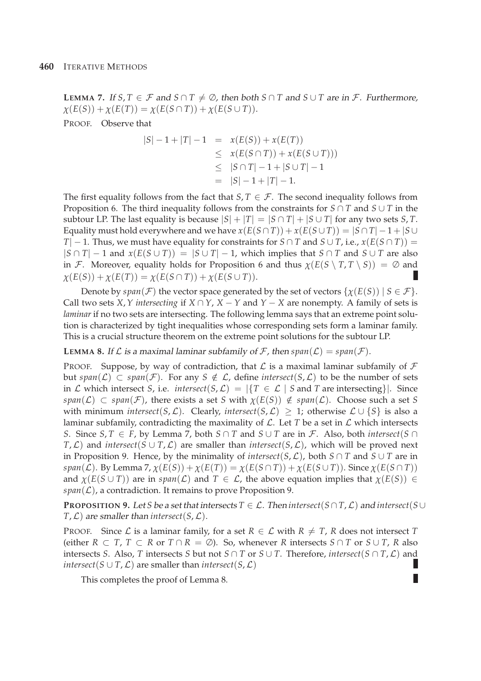**LEMMA** 7. If  $S, T \in \mathcal{F}$  and  $S \cap T \neq \emptyset$ , then both  $S \cap T$  and  $S \cup T$  are in  $\mathcal{F}$ . Furthermore,  $\chi(E(S)) + \chi(E(T)) = \chi(E(S \cap T)) + \chi(E(S \cup T)).$ 

PROOF. Observe that

$$
|S| - 1 + |T| - 1 = x(E(S)) + x(E(T))
$$
  
\n
$$
\leq x(E(S \cap T)) + x(E(S \cup T)))
$$
  
\n
$$
\leq |S \cap T| - 1 + |S \cup T| - 1
$$
  
\n
$$
= |S| - 1 + |T| - 1.
$$

The first equality follows from the fact that *S*,  $T \in \mathcal{F}$ . The second inequality follows from Proposition 6. The third inequality follows from the constraints for  $S \cap T$  and  $S \cup T$  in the subtour LP. The last equality is because  $|S| + |T| = |S \cap T| + |S \cup T|$  for any two sets *S*, *T*. Equality must hold everywhere and we have  $x(E(S \cap T)) + x(E(S \cup T)) = |S \cap T| - 1 + |S \cup T|$ *T*| − 1. Thus, we must have equality for constraints for *S* ∩ *T* and *S* ∪ *T*, i.e., *x*(*E*(*S* ∩ *T*)) =  $|S \cap T| - 1$  and  $x(E(S \cup T)) = |S \cup T| - 1$ , which implies that  $S \cap T$  and  $S \cup T$  are also in F. Moreover, equality holds for Proposition 6 and thus  $\chi(E(S \setminus T, T \setminus S)) = \emptyset$  and  $\chi(E(S)) + \chi(E(T)) = \chi(E(S \cap T)) + \chi(E(S \cup T)).$ 

Denote by  $span(\mathcal{F})$  the vector space generated by the set of vectors  $\{\chi(E(S)) \mid S \in \mathcal{F}\}\$ . Call two sets *X*, *Y* intersecting if  $X \cap Y$ ,  $X - Y$  and  $Y - X$  are nonempty. A family of sets is *laminar* if no two sets are intersecting. The following lemma says that an extreme point solution is characterized by tight inequalities whose corresponding sets form a laminar family. This is a crucial structure theorem on the extreme point solutions for the subtour LP.

**LEMMA 8.** If  $\mathcal L$  is a maximal laminar subfamily of F, then  $span(\mathcal L) = span(\mathcal F)$ .

PROOF. Suppose, by way of contradiction, that  $\mathcal L$  is a maximal laminar subfamily of  $\mathcal F$ but *span*( $\mathcal{L}$ ) ⊂ *span*( $\mathcal{F}$ ). For any *S*  $\notin \mathcal{L}$ , define *intersect*(*S*, $\mathcal{L}$ ) to be the number of sets in L which intersect *S*, i.e. *intersect*(*S*, L) =  $|\{T \in L \mid S \text{ and } T \text{ are intersecting}\}|$ . Since  $span(\mathcal{L}) \subset span(\mathcal{F})$ , there exists a set *S* with  $\chi(E(S)) \notin span(\mathcal{L})$ . Choose such a set *S* with minimum *intersect*(*S*, *L*). Clearly, *intersect*(*S*, *L*)  $\geq$  1; otherwise  $\mathcal{L} \cup \{S\}$  is also a laminar subfamily, contradicting the maximality of  $\mathcal{L}$ . Let *T* be a set in  $\mathcal{L}$  which intersects *S*. Since *S*, *T* ∈ *F*, by Lemma 7, both *S* ∩ *T* and *S* ∪ *T* are in *F*. Also, both *intersect*(*S* ∩ *T*,  $L$ ) and *intersect*( $S$  ∪ *T*,  $L$ ) are smaller than *intersect*( $S$ ,  $L$ ), which will be proved next in Proposition 9. Hence, by the minimality of *intersect*(*S*,  $\mathcal{L}$ ), both *S* ∩ *T* and *S* ∪ *T* are in *. By Lemma 7,*  $χ(E(S)) + χ(E(T)) = χ(E(S ∩ T)) + χ(E(S ∪ T))$ *. Since*  $χ(E(S ∩ T))$ and  $\chi(E(S \cup T))$  are in  $span(\mathcal{L})$  and  $T \in \mathcal{L}$ , the above equation implies that  $\chi(E(S)) \in$  $span(\mathcal{L})$ , a contradiction. It remains to prove Proposition 9.

**PROPOSITION** 9. Let *S* be a set that intersects  $T \in \mathcal{L}$ . Then intersect( $S \cap T$ , L) and intersect( $S \cup$  $T$ ,  $\mathcal{L}$ ) are smaller than *intersect*(*S*,  $\mathcal{L}$ ).

PROOF. Since  $\mathcal L$  is a laminar family, for a set  $R \in \mathcal L$  with  $R \neq T$ ,  $R$  does not intersect  $T$ (either  $R \subset T$ ,  $T \subset R$  or  $T \cap R = \emptyset$ ). So, whenever R intersects  $S \cap T$  or  $S \cup T$ , R also intersects *S*. Also, *T* intersects *S* but not  $S \cap T$  or  $S \cup T$ . Therefore, *intersect*( $S \cap T, \mathcal{L}$ ) and Ш *intersect*( $S \cup T$ ,  $\mathcal{L}$ ) are smaller than *intersect*( $S$ ,  $\mathcal{L}$ )

П

This completes the proof of Lemma 8.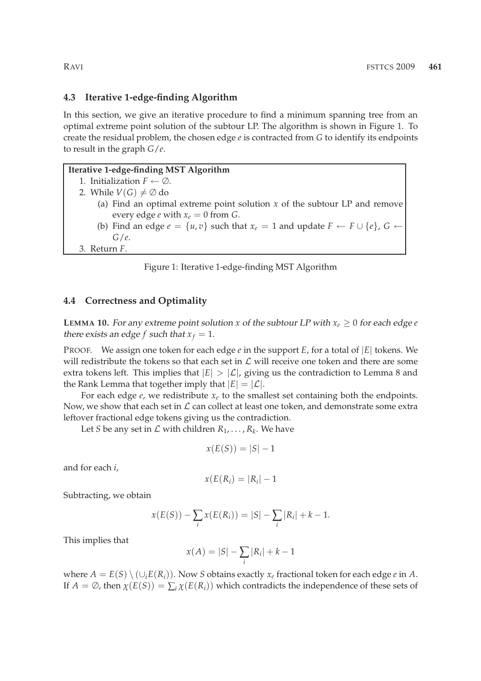#### **4.3 Iterative 1-edge-finding Algorithm**

In this section, we give an iterative procedure to find a minimum spanning tree from an optimal extreme point solution of the subtour LP. The algorithm is shown in Figure 1. To create the residual problem, the chosen edge *e* is contracted from *G* to identify its endpoints to result in the graph *G*/*e*.

#### **Iterative 1-edge-finding MST Algorithm**

1. Initialization  $F \leftarrow \emptyset$ . 2. While  $V(G) \neq \emptyset$  do (a) Find an optimal extreme point solution *x* of the subtour LP and remove every edge *e* with  $x_e = 0$  from *G*. (b) Find an edge  $e = \{u, v\}$  such that  $x_e = 1$  and update  $F \leftarrow F \cup \{e\}$ ,  $G \leftarrow$ *G*/*e*.

3. Return *F*.

Figure 1: Iterative 1-edge-finding MST Algorithm

#### **4.4 Correctness and Optimality**

**LEMMA 10.** For any extreme point solution *x* of the subtour LP with  $x_e \geq 0$  for each edge *e* there exists an edge *f* such that  $x_f = 1$ .

PROOF. We assign one token for each edge *e* in the support *E*, for a total of |*E*| tokens. We will redistribute the tokens so that each set in  $\mathcal L$  will receive one token and there are some extra tokens left. This implies that  $|E| > |\mathcal{L}|$ , giving us the contradiction to Lemma 8 and the Rank Lemma that together imply that  $|E| = |\mathcal{L}|$ .

For each edge *e*, we redistribute *x<sup>e</sup>* to the smallest set containing both the endpoints. Now, we show that each set in  $\mathcal L$  can collect at least one token, and demonstrate some extra leftover fractional edge tokens giving us the contradiction.

Let *S* be any set in  $\mathcal L$  with children  $R_1, \ldots, R_k$ . We have

$$
x(E(S)) = |S| - 1
$$

and for each *i*,

$$
x(E(R_i) = |R_i| - 1
$$

Subtracting, we obtain

$$
x(E(S)) - \sum_{i} x(E(R_i)) = |S| - \sum_{i} |R_i| + k - 1.
$$

This implies that

$$
x(A) = |S| - \sum_{i} |R_i| + k - 1
$$

where  $A = E(S) \setminus (\cup_i E(R_i))$ . Now *S* obtains exactly  $x_e$  fractional token for each edge *e* in *A*. If  $A = \emptyset$ , then  $\chi(E(S)) = \sum_i \chi(E(R_i))$  which contradicts the independence of these sets of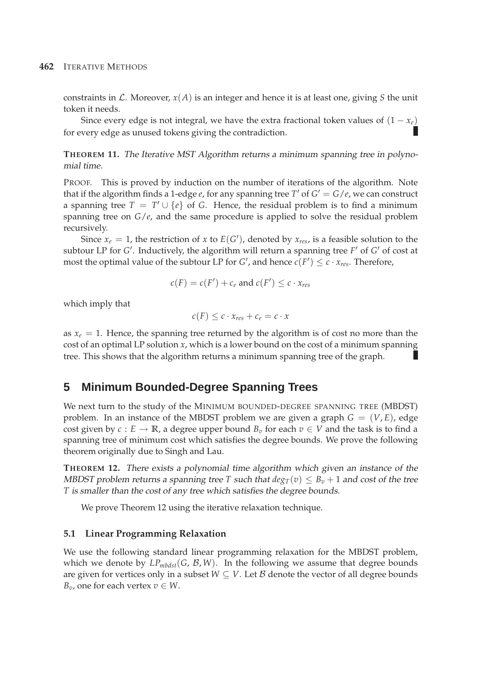constraints in  $\mathcal{L}$ . Moreover,  $x(A)$  is an integer and hence it is at least one, giving *S* the unit token it needs.

Since every edge is not integral, we have the extra fractional token values of  $(1 - x_e)$ for every edge as unused tokens giving the contradiction.

**THEOREM 11.** The Iterative MST Algorithm returns <sup>a</sup> minimum spanning tree in polynomial time.

PROOF. This is proved by induction on the number of iterations of the algorithm. Note that if the algorithm finds a 1-edge *e*, for any spanning tree  $T'$  of  $G' = G/e$ , we can construct a spanning tree  $T = T' \cup \{e\}$  of *G*. Hence, the residual problem is to find a minimum spanning tree on  $G/e$ , and the same procedure is applied to solve the residual problem recursively.

Since  $x_e = 1$ , the restriction of *x* to  $E(G')$ , denoted by  $x_{res}$ , is a feasible solution to the subtour LP for *G* ′ . Inductively, the algorithm will return a spanning tree *F* ′ of *G* ′ of cost at most the optimal value of the subtour LP for *G*', and hence  $c(F') \leq c \cdot x_{res}$ . Therefore,

$$
c(F) = c(F') + c_e
$$
 and 
$$
c(F') \leq c \cdot x_{res}
$$

which imply that

$$
c(F) \leq c \cdot x_{res} + c_e = c \cdot x
$$

as  $x_e = 1$ . Hence, the spanning tree returned by the algorithm is of cost no more than the cost of an optimal LP solution *x*, which is a lower bound on the cost of a minimum spanning tree. This shows that the algorithm returns a minimum spanning tree of the graph.

# **5 Minimum Bounded-Degree Spanning Trees**

We next turn to the study of the MINIMUM BOUNDED-DEGREE SPANNING TREE (MBDST) problem. In an instance of the MBDST problem we are given a graph  $G = (V, E)$ , edge cost given by  $c : E \to \mathbb{R}$ , a degree upper bound  $B<sub>v</sub>$  for each  $v \in V$  and the task is to find a spanning tree of minimum cost which satisfies the degree bounds. We prove the following theorem originally due to Singh and Lau.

**THEOREM 12.** There exists <sup>a</sup> polynomial time algorithm which given an instance of the MBDST problem returns a spanning tree *T* such that  $deg_T(v) \leq B_v + 1$  and cost of the tree *T* is smaller than the cost of any tree which satisfies the degree bounds.

We prove Theorem 12 using the iterative relaxation technique.

## **5.1 Linear Programming Relaxation**

We use the following standard linear programming relaxation for the MBDST problem, which we denote by  $LP_{mbdst}(G, \mathcal{B}, W)$ . In the following we assume that degree bounds are given for vertices only in a subset  $W \subseteq V$ . Let  $\beta$  denote the vector of all degree bounds *B*<sup>*v*</sup>, one for each vertex  $v \in W$ .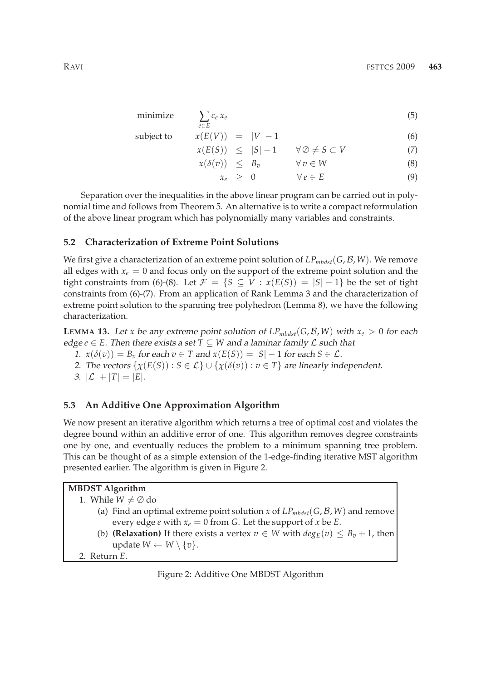$$
\text{minimize} \qquad \sum_{e \in E} c_e \, x_e \tag{5}
$$

subject to 
$$
x(E(V)) = |V| - 1
$$
 (6)

$$
x(E(S)) \leq |S| - 1 \qquad \forall \emptyset \neq S \subset V \tag{7}
$$

$$
x(\delta(v)) \leq B_v \qquad \forall v \in W \tag{8}
$$

$$
x_e \geq 0 \qquad \forall e \in E \tag{9}
$$

Separation over the inequalities in the above linear program can be carried out in polynomial time and follows from Theorem 5. An alternative is to write a compact reformulation of the above linear program which has polynomially many variables and constraints.

#### **5.2 Characterization of Extreme Point Solutions**

We first give a characterization of an extreme point solution of  $LP_{mbdst}(G, \mathcal{B}, W)$ . We remove all edges with  $x_e = 0$  and focus only on the support of the extreme point solution and the tight constraints from (6)-(8). Let  $\mathcal{F} = \{S \subseteq V : x(E(S)) = |S| - 1\}$  be the set of tight constraints from (6)-(7). From an application of Rank Lemma 3 and the characterization of extreme point solution to the spanning tree polyhedron (Lemma 8), we have the following characterization.

**LEMMA 13.** Let *x* be any extreme point solution of  $LP_{mbdst}(G, \mathcal{B}, W)$  with  $x_e > 0$  for each edge  $e \in E$ . Then there exists a set  $T \subseteq W$  and a laminar family  $\mathcal L$  such that

- 1.  $x(\delta(v)) = B_v$  for each  $v \in T$  and  $x(E(S)) = |S| 1$  for each  $S \in \mathcal{L}$ .
- 2. The vectors  $\{\chi(E(S)) : S \in \mathcal{L}\} \cup \{\chi(\delta(v)) : v \in T\}$  are linearly independent.

3.  $|\mathcal{L}| + |T| = |E|.$ 

## **5.3 An Additive One Approximation Algorithm**

We now present an iterative algorithm which returns a tree of optimal cost and violates the degree bound within an additive error of one. This algorithm removes degree constraints one by one, and eventually reduces the problem to a minimum spanning tree problem. This can be thought of as a simple extension of the 1-edge-finding iterative MST algorithm presented earlier. The algorithm is given in Figure 2.

## **MBDST Algorithm**

1. While  $W \neq \emptyset$  do

- (a) Find an optimal extreme point solution *x* of  $LP_{mbdst}(G, \mathcal{B}, W)$  and remove every edge *e* with  $x_e = 0$  from *G*. Let the support of *x* be *E*.
- (b) **(Relaxation)** If there exists a vertex  $v \in W$  with  $deg_E(v) \leq B_v + 1$ , then update  $W \leftarrow W \setminus \{v\}.$

2. Return *E*.

Figure 2: Additive One MBDST Algorithm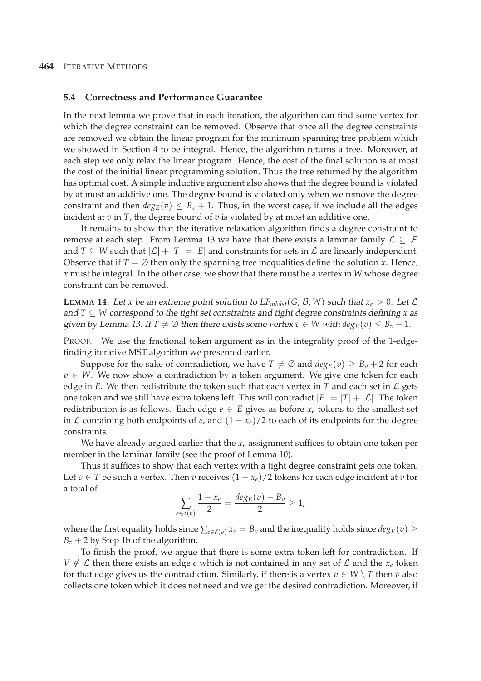#### **5.4 Correctness and Performance Guarantee**

In the next lemma we prove that in each iteration, the algorithm can find some vertex for which the degree constraint can be removed. Observe that once all the degree constraints are removed we obtain the linear program for the minimum spanning tree problem which we showed in Section 4 to be integral. Hence, the algorithm returns a tree. Moreover, at each step we only relax the linear program. Hence, the cost of the final solution is at most the cost of the initial linear programming solution. Thus the tree returned by the algorithm has optimal cost. A simple inductive argument also shows that the degree bound is violated by at most an additive one. The degree bound is violated only when we remove the degree constraint and then  $deg_E(v) \leq B_v + 1$ . Thus, in the worst case, if we include all the edges incident at *v* in *T*, the degree bound of *v* is violated by at most an additive one.

It remains to show that the iterative relaxation algorithm finds a degree constraint to remove at each step. From Lemma 13 we have that there exists a laminar family  $\mathcal{L} \subseteq \mathcal{F}$ and  $T \subseteq W$  such that  $|\mathcal{L}| + |T| = |E|$  and constraints for sets in  $\mathcal{L}$  are linearly independent. Observe that if  $T = \emptyset$  then only the spanning tree inequalities define the solution *x*. Hence, *x* must be integral. In the other case, we show that there must be a vertex in *W* whose degree constraint can be removed.

**LEMMA 14.** Let *x* be an extreme point solution to  $LP_{mbdst}(G, \mathcal{B}, W)$  such that  $x_e > 0$ . Let  $\mathcal{L}$ and *T* ⊆ *W* correspond to the tight set constraints and tight degree constraints defining *x* as given by Lemma 13. If  $T \neq \emptyset$  then there exists some vertex  $v \in W$  with  $deg_E(v) \leq B_v + 1$ .

PROOF. We use the fractional token argument as in the integrality proof of the 1-edgefinding iterative MST algorithm we presented earlier.

Suppose for the sake of contradiction, we have  $T \neq \emptyset$  and  $deg_E(v) \geq B_v + 2$  for each *v* ∈ *W*. We now show a contradiction by a token argument. We give one token for each edge in *E*. We then redistribute the token such that each vertex in *T* and each set in  $\mathcal{L}$  gets one token and we still have extra tokens left. This will contradict  $|E| = |T| + |\mathcal{L}|$ . The token redistribution is as follows. Each edge  $e \in E$  gives as before  $x_e$  tokens to the smallest set in  $\mathcal L$  containing both endpoints of *e*, and  $(1 - x_e)/2$  to each of its endpoints for the degree constraints.

We have already argued earlier that the *x<sup>e</sup>* assignment suffices to obtain one token per member in the laminar family (see the proof of Lemma 10).

Thus it suffices to show that each vertex with a tight degree constraint gets one token. Let *v* ∈ *T* be such a vertex. Then *v* receives  $(1 - x_e)/2$  tokens for each edge incident at *v* for a total of

$$
\sum_{e\in\delta(v)}\frac{1-x_e}{2}=\frac{deg_E(v)-B_v}{2}\geq 1,
$$

where the first equality holds since  $\sum_{e \in \delta(v)} x_e = B_v$  and the inequality holds since  $deg_E(v) \ge$  $B_v + 2$  by Step 1b of the algorithm.

To finish the proof, we argue that there is some extra token left for contradiction. If  $V \notin \mathcal{L}$  then there exists an edge *e* which is not contained in any set of  $\mathcal{L}$  and the  $x_e$  token for that edge gives us the contradiction. Similarly, if there is a vertex  $v \in W \setminus T$  then *v* also collects one token which it does not need and we get the desired contradiction. Moreover, if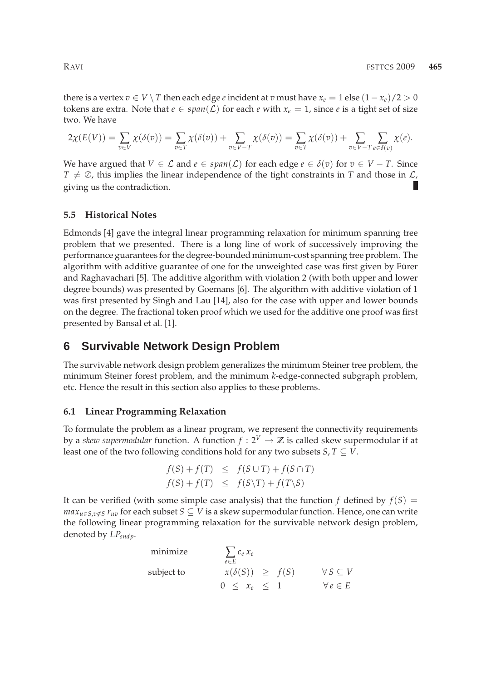there is a vertex  $v \in V \setminus T$  then each edge *e* incident at *v* must have  $x_e = 1$  else  $(1 - x_e)/2 > 0$ tokens are extra. Note that  $e \in span(\mathcal{L})$  for each  $e$  with  $x_e = 1$ , since  $e$  is a tight set of size two. We have

$$
2\chi(E(V)) = \sum_{v \in V} \chi(\delta(v)) = \sum_{v \in T} \chi(\delta(v)) + \sum_{v \in V - T} \chi(\delta(v)) = \sum_{v \in T} \chi(\delta(v)) + \sum_{v \in V - T} \sum_{e \in \delta(v)} \chi(e).
$$

We have argued that  $V \in \mathcal{L}$  and  $e \in span(\mathcal{L})$  for each edge  $e \in \delta(v)$  for  $v \in V - T$ . Since  $T \neq \emptyset$ , this implies the linear independence of the tight constraints in *T* and those in  $\mathcal{L}$ , giving us the contradiction.

#### **5.5 Historical Notes**

Edmonds [4] gave the integral linear programming relaxation for minimum spanning tree problem that we presented. There is a long line of work of successively improving the performance guarantees for the degree-bounded minimum-cost spanning tree problem. The algorithm with additive guarantee of one for the unweighted case was first given by Fürer and Raghavachari [5]. The additive algorithm with violation 2 (with both upper and lower degree bounds) was presented by Goemans [6]. The algorithm with additive violation of 1 was first presented by Singh and Lau [14], also for the case with upper and lower bounds on the degree. The fractional token proof which we used for the additive one proof was first presented by Bansal et al. [1].

# **6 Survivable Network Design Problem**

The survivable network design problem generalizes the minimum Steiner tree problem, the minimum Steiner forest problem, and the minimum *k*-edge-connected subgraph problem, etc. Hence the result in this section also applies to these problems.

## **6.1 Linear Programming Relaxation**

To formulate the problem as a linear program, we represent the connectivity requirements by a *skew supermodular* function. A function  $f: 2^V \to \mathbb{Z}$  is called skew supermodular if at least one of the two following conditions hold for any two subsets  $S, T \subseteq V$ .

$$
f(S) + f(T) \leq f(S \cup T) + f(S \cap T)
$$
  

$$
f(S) + f(T) \leq f(S \setminus T) + f(T \setminus S)
$$

It can be verified (with some simple case analysis) that the function *f* defined by  $f(S) =$ *max*<sub>*u*∈*S*,*v*∈*S*  $r_{uv}$  for each subset *S* ⊆ *V* is a skew supermodular function. Hence, one can write</sub> the following linear programming relaxation for the survivable network design problem, denoted by *LPsndp*.

minimize  
\nsubject to  
\n
$$
\sum_{e \in E} c_e x_e
$$
\n
$$
x(\delta(S)) \geq f(S) \qquad \forall S \subseteq V
$$
\n
$$
0 \leq x_e \leq 1 \qquad \forall e \in E
$$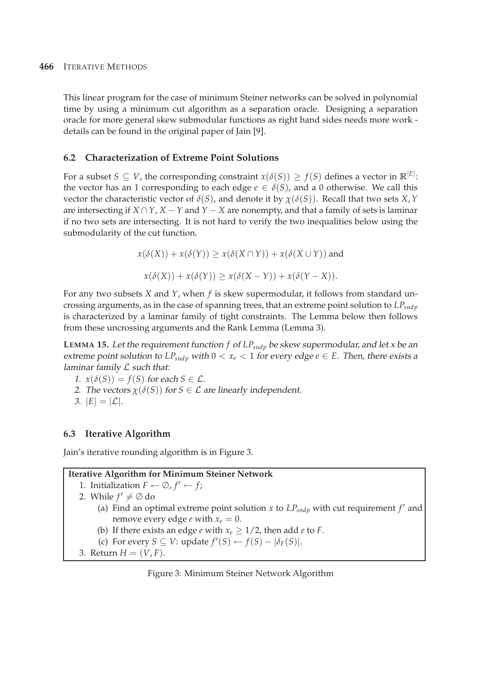This linear program for the case of minimum Steiner networks can be solved in polynomial time by using a minimum cut algorithm as a separation oracle. Designing a separation oracle for more general skew submodular functions as right hand sides needs more work details can be found in the original paper of Jain [9].

# **6.2 Characterization of Extreme Point Solutions**

For a subset  $S \subseteq V$ , the corresponding constraint  $x(\delta(S)) \ge f(S)$  defines a vector in  $\mathbb{R}^{|E|}$ : the vector has an 1 corresponding to each edge  $e \in \delta(S)$ , and a 0 otherwise. We call this vector the characteristic vector of  $\delta(S)$ , and denote it by  $\chi(\delta(S))$ . Recall that two sets *X*, *Y* are intersecting if  $X \cap Y$ ,  $X - Y$  and  $Y - X$  are nonempty, and that a family of sets is laminar if no two sets are intersecting. It is not hard to verify the two inequalities below using the submodularity of the cut function.

$$
x(\delta(X)) + x(\delta(Y)) \ge x(\delta(X \cap Y)) + x(\delta(X \cup Y))
$$
 and  

$$
x(\delta(X)) + x(\delta(Y)) \ge x(\delta(X - Y)) + x(\delta(Y - X)).
$$

For any two subsets *X* and *Y*, when *f* is skew supermodular, it follows from standard uncrossing arguments, as in the case of spanning trees, that an extreme point solution to *LPsndp* is characterized by a laminar family of tight constraints. The Lemma below then follows from these uncrossing arguments and the Rank Lemma (Lemma 3).

**LEMMA 15.** Let the requirement function *f* of *LPsndp* be skew supermodular, and let <sup>x</sup> be an extreme point solution to  $LP_{\text{sndp}}$  with  $0 < x_e < 1$  for every edge  $e \in E$ . Then, there exists a laminar family  $L$  such that:

- 1.  $x(\delta(S)) = f(S)$  for each  $S \in \mathcal{L}$ .
- 2. The vectors  $\chi(\delta(S))$  for  $S \in \mathcal{L}$  are linearly independent.
- 3.  $|E| = |\mathcal{L}|$ .

# **6.3 Iterative Algorithm**

Jain's iterative rounding algorithm is in Figure 3.

# **Iterative Algorithm for Minimum Steiner Network**

1. Initialization  $F \leftarrow \emptyset$ ,  $f' \leftarrow f$ ; 2. While  $f' \neq \emptyset$  do (a) Find an optimal extreme point solution *x* to  $LP_{\text{sndp}}$  with cut requirement  $f'$  and remove every edge *e* with  $x_e = 0$ . (b) If there exists an edge *e* with  $x_e \geq 1/2$ , then add *e* to *F*.

- (c) For every *S* ⊆ *V*: update  $f'(S)$  ←  $f(S) |\delta_F(S)|$ .
- 3. Return  $H = (V, F)$ .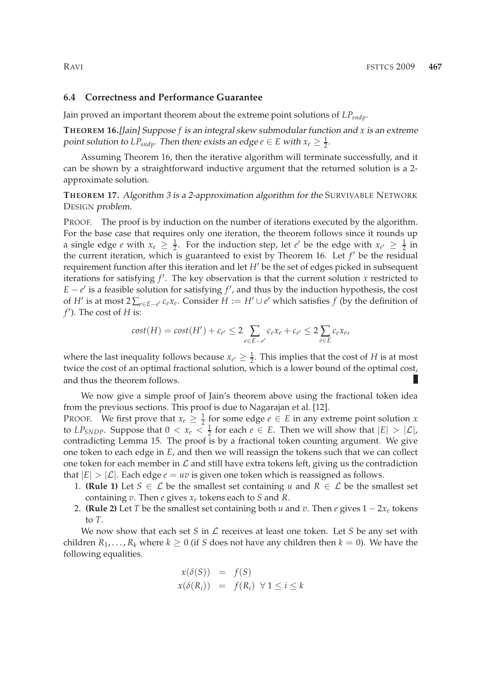#### **6.4 Correctness and Performance Guarantee**

Jain proved an important theorem about the extreme point solutions of *LPsndp*.

**THEOREM 16.**[Jain] Suppose *f* is an integral skew submodular function and *x* is an extreme point solution to  $LP_{\textit{sndp}}$ . Then there exists an edge  $e \in E$  with  $x_e \geq \frac{1}{2}$ .

Assuming Theorem 16, then the iterative algorithm will terminate successfully, and it can be shown by a straightforward inductive argument that the returned solution is a 2 approximate solution.

**THEOREM 17.** Algorithm <sup>3</sup> is <sup>a</sup> 2-approximation algorithm for the SURVIVABLE NETWORK DESIGN problem.

PROOF. The proof is by induction on the number of iterations executed by the algorithm. For the base case that requires only one iteration, the theorem follows since it rounds up a single edge *e* with  $x_e \geq \frac{1}{2}$ . For the induction step, let *e'* be the edge with  $x_{e'} \geq \frac{1}{2}$  in the current iteration, which is guaranteed to exist by Theorem 16. Let  $f'$  be the residual requirement function after this iteration and let *H*′ be the set of edges picked in subsequent iterations for satisfying *f* ′ . The key observation is that the current solution *x* restricted to  $E - e'$  is a feasible solution for satisfying  $f'$ , and thus by the induction hypothesis, the cost of *H'* is at most  $2\sum_{e\in E-e'} c_e x_e$ . Consider  $H := H' \cup e'$  which satisfies  $f$  (by the definition of *f* ′ ). The cost of *H* is:

$$
cost(H) = cost(H') + c_{e'} \leq 2 \sum_{e \in E-e'} c_e x_e + c_{e'} \leq 2 \sum_{e \in E} c_e x_e,
$$

where the last inequality follows because  $x_{e'} \geq \frac{1}{2}$ . This implies that the cost of *H* is at most twice the cost of an optimal fractional solution, which is a lower bound of the optimal cost, and thus the theorem follows.

We now give a simple proof of Jain's theorem above using the fractional token idea from the previous sections. This proof is due to Nagarajan et al. [12].

PROOF. We first prove that  $x_e \geq \frac{1}{2}$  for some edge  $e \in E$  in any extreme point solution *x* to  $LP_{SNDP}$ . Suppose that  $0 < x_e < \frac{1}{2}$  for each  $e \in E$ . Then we will show that  $|E| > |\mathcal{L}|$ , contradicting Lemma 15. The proof is by a fractional token counting argument. We give one token to each edge in *E*, and then we will reassign the tokens such that we can collect one token for each member in  $\mathcal L$  and still have extra tokens left, giving us the contradiction that  $|E| > |\mathcal{L}|$ . Each edge  $e = uv$  is given one token which is reassigned as follows.

- 1. **(Rule 1)** Let  $S \in \mathcal{L}$  be the smallest set containing *u* and  $R \in \mathcal{L}$  be the smallest set containing *v*. Then *e* gives *x<sup>e</sup>* tokens each to *S* and *R*.
- 2. **(Rule 2)** Let *T* be the smallest set containing both *u* and *v*. Then *e* gives  $1 2x_e$  tokens to *T*.

We now show that each set  $S$  in  $\mathcal L$  receives at least one token. Let  $S$  be any set with children  $R_1, \ldots, R_k$  where  $k \geq 0$  (if *S* does not have any children then  $k = 0$ ). We have the following equalities.

$$
x(\delta(S)) = f(S)
$$
  

$$
x(\delta(R_i)) = f(R_i) \forall 1 \le i \le k
$$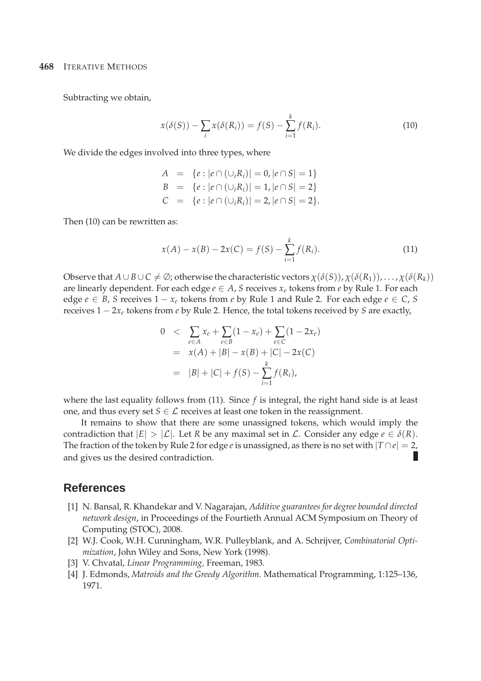Subtracting we obtain,

$$
x(\delta(S)) - \sum_{i} x(\delta(R_i)) = f(S) - \sum_{i=1}^{k} f(R_i).
$$
 (10)

We divide the edges involved into three types, where

$$
A = \{e : |e \cap (\cup_i R_i)| = 0, |e \cap S| = 1\}
$$
  
\n
$$
B = \{e : |e \cap (\cup_i R_i)| = 1, |e \cap S| = 2\}
$$
  
\n
$$
C = \{e : |e \cap (\cup_i R_i)| = 2, |e \cap S| = 2\}.
$$

Then (10) can be rewritten as:

$$
x(A) - x(B) - 2x(C) = f(S) - \sum_{i=1}^{k} f(R_i).
$$
 (11)

Observe that  $A \cup B \cup C \neq \emptyset$ ; otherwise the characteristic vectors  $\chi(\delta(S))$ ,  $\chi(\delta(R_1))$ , ...,  $\chi(\delta(R_k))$ are linearly dependent. For each edge  $e \in A$ , *S* receives  $x_e$  tokens from *e* by Rule 1. For each edge *e* ∈ *B*, *S* receives  $1 - x_e$  tokens from *e* by Rule 1 and Rule 2. For each edge *e* ∈ *C*, *S* receives 1 − 2*x<sup>e</sup>* tokens from *e* by Rule 2. Hence, the total tokens received by *S* are exactly,

$$
0 < \sum_{e \in A} x_e + \sum_{e \in B} (1 - x_e) + \sum_{e \in C} (1 - 2x_e)
$$
  
=  $x(A) + |B| - x(B) + |C| - 2x(C)$   
=  $|B| + |C| + f(S) - \sum_{i=1}^{k} f(R_i),$ 

where the last equality follows from (11). Since *f* is integral, the right hand side is at least one, and thus every set  $S \in \mathcal{L}$  receives at least one token in the reassignment.

It remains to show that there are some unassigned tokens, which would imply the contradiction that  $|E| > |\mathcal{L}|$ . Let *R* be any maximal set in  $\mathcal{L}$ . Consider any edge  $e \in \delta(R)$ . The fraction of the token by Rule 2 for edge *e* is unassigned, as there is no set with  $|T \cap e| = 2$ , and gives us the desired contradiction. г

# **References**

- [1] N. Bansal, R. Khandekar and V. Nagarajan, *Additive guarantees for degree bounded directed network design*, in Proceedings of the Fourtieth Annual ACM Symposium on Theory of Computing (STOC), 2008.
- [2] W.J. Cook, W.H. Cunningham, W.R. Pulleyblank, and A. Schrijver, *Combinatorial Optimization*, John Wiley and Sons, New York (1998).
- [3] V. Chvatal, *Linear Programming,* Freeman, 1983.
- [4] J. Edmonds, *Matroids and the Greedy Algorithm.* Mathematical Programming, 1:125–136, 1971.